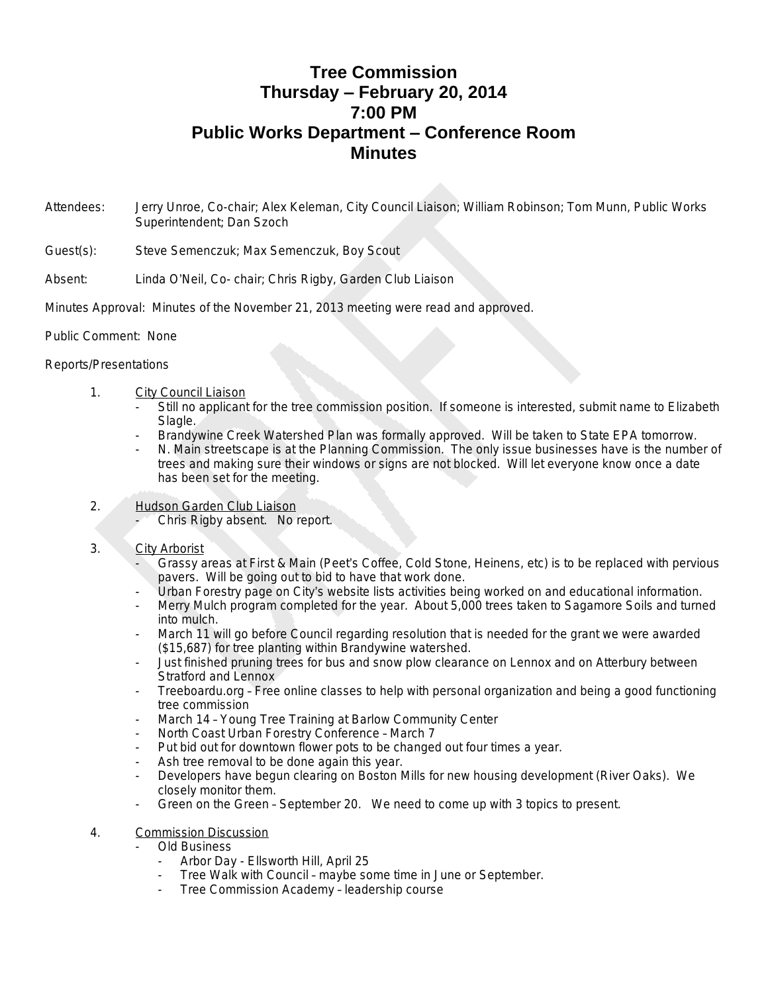# **Tree Commission Thursday – February 20, 2014 7:00 PM Public Works Department – Conference Room Minutes**

- Attendees: Jerry Unroe, Co-chair; Alex Keleman, City Council Liaison; William Robinson; Tom Munn, Public Works Superintendent; Dan Szoch
- Guest(s): Steve Semenczuk; Max Semenczuk, Boy Scout
- Absent: Linda O'Neil, Co- chair; Chris Rigby, Garden Club Liaison
- Minutes Approval: Minutes of the November 21, 2013 meeting were read and approved.
- Public Comment: None

### Reports/Presentations

- 1. City Council Liaison
	- Still no applicant for the tree commission position. If someone is interested, submit name to Elizabeth Slagle.
	- Brandywine Creek Watershed Plan was formally approved. Will be taken to State EPA tomorrow.
	- N. Main streetscape is at the Planning Commission. The only issue businesses have is the number of trees and making sure their windows or signs are not blocked. Will let everyone know once a date has been set for the meeting.
- 2. Hudson Garden Club Liaison
	- Chris Rigby absent. No report.

### 3. City Arborist

- Grassy areas at First & Main (Peet's Coffee, Cold Stone, Heinens, etc) is to be replaced with pervious pavers. Will be going out to bid to have that work done.
- Urban Forestry page on City's website lists activities being worked on and educational information.
- Merry Mulch program completed for the year. About 5,000 trees taken to Sagamore Soils and turned into mulch.
- March 11 will go before Council regarding resolution that is needed for the grant we were awarded (\$15,687) for tree planting within Brandywine watershed.
- Just finished pruning trees for bus and snow plow clearance on Lennox and on Atterbury between Stratford and Lennox
- Treeboardu.org Free online classes to help with personal organization and being a good functioning tree commission
- March 14 Young Tree Training at Barlow Community Center
- North Coast Urban Forestry Conference March 7
- Put bid out for downtown flower pots to be changed out four times a year.
- Ash tree removal to be done again this year.
- Developers have begun clearing on Boston Mills for new housing development (River Oaks). We closely monitor them.
- Green on the Green September 20. We need to come up with 3 topics to present.

## 4. Commission Discussion

### - Old Business

- Arbor Day Ellsworth Hill, April 25
- Tree Walk with Council maybe some time in June or September.
- Tree Commission Academy leadership course